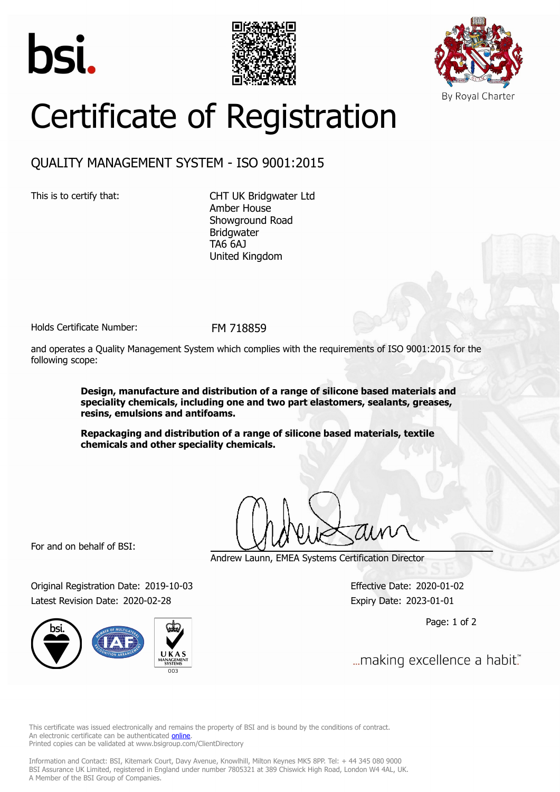





## Certificate of Registration

## QUALITY MANAGEMENT SYSTEM - ISO 9001:2015

This is to certify that: CHT UK Bridgwater Ltd Amber House Showground Road Bridgwater TA6 6AJ United Kingdom

Holds Certificate Number: FM 718859

and operates a Quality Management System which complies with the requirements of ISO 9001:2015 for the following scope:

> **Design, manufacture and distribution of a range of silicone based materials and speciality chemicals, including one and two part elastomers, sealants, greases, resins, emulsions and antifoams.**

**Repackaging and distribution of a range of silicone based materials, textile chemicals and other speciality chemicals.**

For and on behalf of BSI:

Andrew Launn, EMEA Systems Certification Director

Original Registration Date: 2019-10-03 Effective Date: 2020-01-02 Latest Revision Date: 2020-02-28 Expiry Date: 2023-01-01

Page: 1 of 2

... making excellence a habit."

This certificate was issued electronically and remains the property of BSI and is bound by the conditions of contract. An electronic certificate can be authenticated **[online](https://pgplus.bsigroup.com/CertificateValidation/CertificateValidator.aspx?CertificateNumber=FM+718859&ReIssueDate=28%2f02%2f2020&Template=uk)**. Printed copies can be validated at www.bsigroup.com/ClientDirectory

Information and Contact: BSI, Kitemark Court, Davy Avenue, Knowlhill, Milton Keynes MK5 8PP. Tel: + 44 345 080 9000 BSI Assurance UK Limited, registered in England under number 7805321 at 389 Chiswick High Road, London W4 4AL, UK. A Member of the BSI Group of Companies.